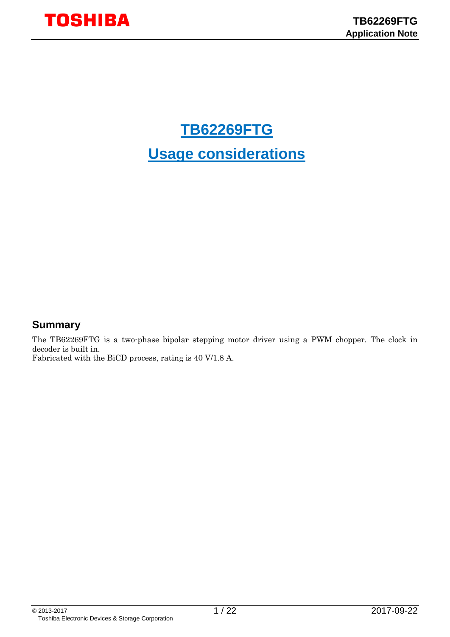# **TB62269FTG Usage considerations**

## <span id="page-0-0"></span>**Summary**

The TB62269FTG is a two-phase bipolar stepping motor driver using a PWM chopper. The clock in decoder is built in. Fabricated with the BiCD process, rating is 40 V/1.8 A.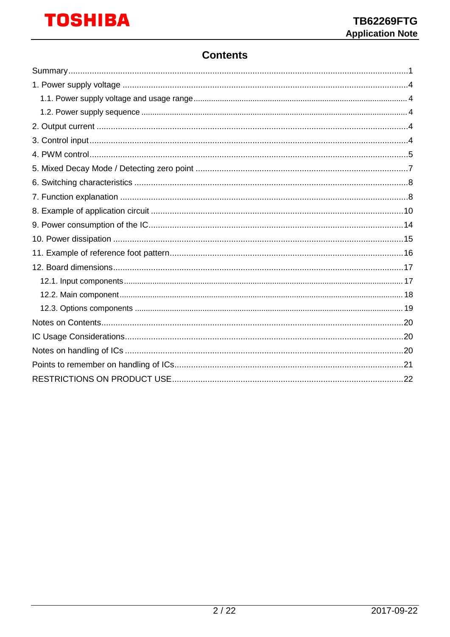## **Contents**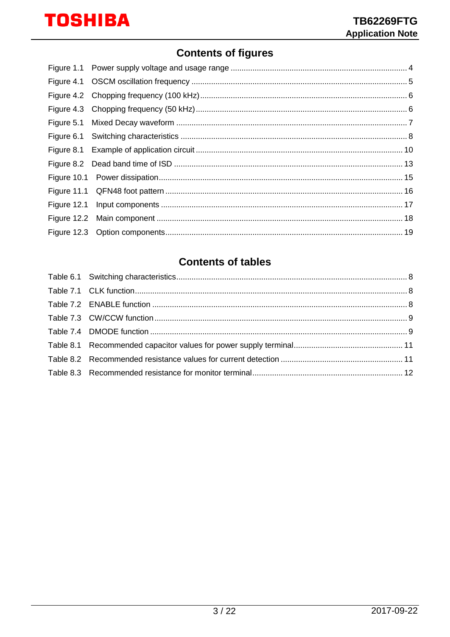## **Contents of figures**

## **Contents of tables**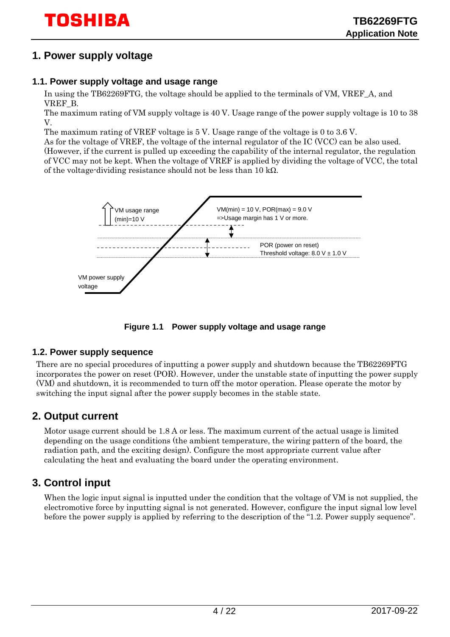## <span id="page-3-0"></span>**1. Power supply voltage**

#### <span id="page-3-1"></span>**1.1. Power supply voltage and usage range**

In using the TB62269FTG, the voltage should be applied to the terminals of VM, VREF\_A, and VREF\_B.

The maximum rating of VM supply voltage is 40 V. Usage range of the power supply voltage is 10 to 38 V.

The maximum rating of VREF voltage is 5 V. Usage range of the voltage is 0 to 3.6 V.

As for the voltage of VREF, the voltage of the internal regulator of the IC (VCC) can be also used. (However, if the current is pulled up exceeding the capability of the internal regulator, the regulation of VCC may not be kept. When the voltage of VREF is applied by dividing the voltage of VCC, the total of the voltage-dividing resistance should not be less than 10 k $\Omega$ .



**Figure 1.1 Power supply voltage and usage range**

#### <span id="page-3-5"></span><span id="page-3-2"></span>**1.2. Power supply sequence**

There are no special procedures of inputting a power supply and shutdown because the TB62269FTG incorporates the power on reset (POR). However, under the unstable state of inputting the power supply (VM) and shutdown, it is recommended to turn off the motor operation. Please operate the motor by switching the input signal after the power supply becomes in the stable state.

## <span id="page-3-3"></span>**2. Output current**

Motor usage current should be 1.8 A or less. The maximum current of the actual usage is limited depending on the usage conditions (the ambient temperature, the wiring pattern of the board, the radiation path, and the exciting design). Configure the most appropriate current value after calculating the heat and evaluating the board under the operating environment.

## <span id="page-3-4"></span>**3. Control input**

When the logic input signal is inputted under the condition that the voltage of VM is not supplied, the electromotive force by inputting signal is not generated. However, configure the input signal low level before the power supply is applied by referring to the description of the ["1.2. Power supply sequence"](#page-3-2).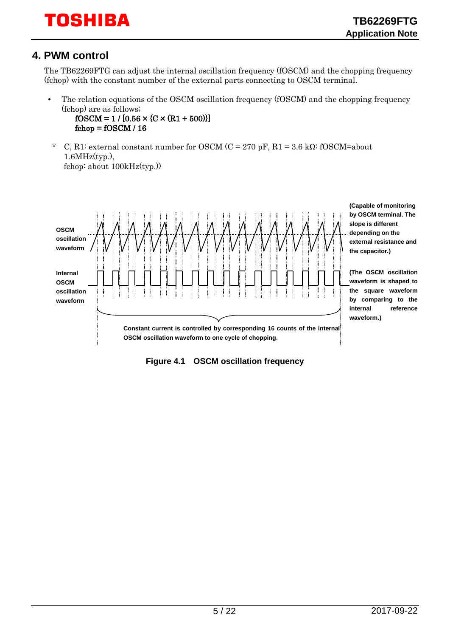## <span id="page-4-0"></span>**4. PWM control**

The TB62269FTG can adjust the internal oscillation frequency (fOSCM) and the chopping frequency (fchop) with the constant number of the external parts connecting to OSCM terminal.

• The relation equations of the OSCM oscillation frequency (fOSCM) and the chopping frequency (fchop) are as follows;

 $fOSCM = 1 / [0.56 \times (C \times (R1 + 500))]$  $fchop = fOSCM / 16$ 

\* C, R1: external constant number for OSCM (C = 270 pF, R1 = 3.6 kΩ: fOSCM=about  $1.6MHz(tvp.),$ fchop: about 100kHz(typ.))



<span id="page-4-1"></span>**Figure 4.1 OSCM oscillation frequency**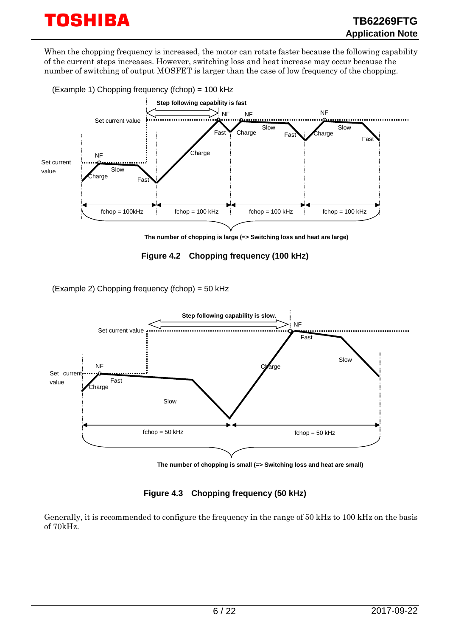When the chopping frequency is increased, the motor can rotate faster because the following capability of the current steps increases. However, switching loss and heat increase may occur because the number of switching of output MOSFET is larger than the case of low frequency of the chopping.



**The number of chopping is large (=> Switching loss and heat are large)**

**Figure 4.2 Chopping frequency (100 kHz)**

<span id="page-5-0"></span>(Example 2) Chopping frequency (fchop) = 50 kHz



**The number of chopping is small (=> Switching loss and heat are small)**

**Figure 4.3 Chopping frequency (50 kHz)**

<span id="page-5-1"></span>Generally, it is recommended to configure the frequency in the range of 50 kHz to 100 kHz on the basis of 70kHz.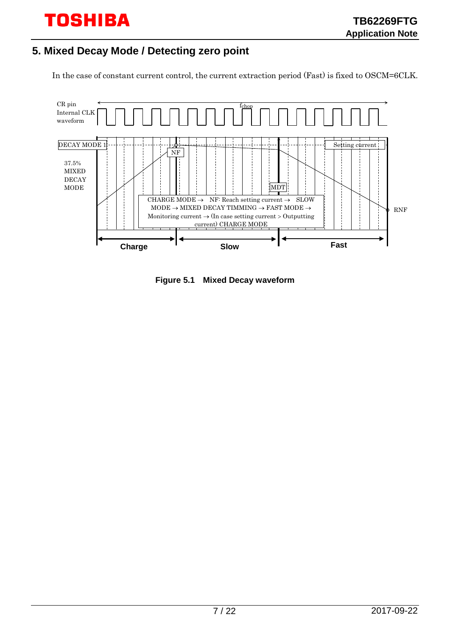## <span id="page-6-0"></span>**5. Mixed Decay Mode / Detecting zero point**

In the case of constant current control, the current extraction period (Fast) is fixed to OSCM=6CLK.



<span id="page-6-1"></span>**Figure 5.1 Mixed Decay waveform**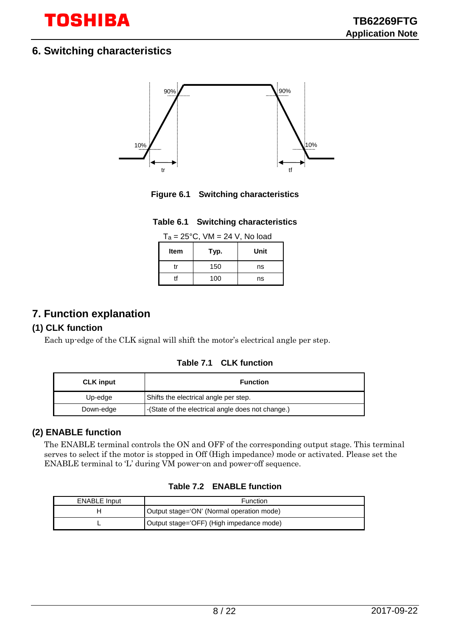

## <span id="page-7-0"></span>**6. Switching characteristics**



<span id="page-7-2"></span>**Figure 6.1 Switching characteristics**

|  |  | Table 6.1 Switching characteristics |
|--|--|-------------------------------------|
|--|--|-------------------------------------|

| $T_a = 25^{\circ}C$ , VM = 24 V, No load |  |
|------------------------------------------|--|
|------------------------------------------|--|

| <b>Item</b> | Typ. | Unit |
|-------------|------|------|
| tr          | 150  | ns   |
|             | 100  | ns   |

## <span id="page-7-3"></span><span id="page-7-1"></span>**7. Function explanation**

#### **(1) CLK function**

<span id="page-7-4"></span>Each up-edge of the CLK signal will shift the motor's electrical angle per step.

**Table 7.1 CLK function**

| <b>CLK</b> input | <b>Function</b>                                   |  |
|------------------|---------------------------------------------------|--|
| Up-edge          | Shifts the electrical angle per step.             |  |
| Down-edge        | -(State of the electrical angle does not change.) |  |

#### **(2) ENABLE function**

The ENABLE terminal controls the ON and OFF of the corresponding output stage. This terminal serves to select if the motor is stopped in Off (High impedance) mode or activated. Please set the ENABLE terminal to 'L' during VM power-on and power-off sequence.

<span id="page-7-5"></span>

| <b>ENABLE Input</b><br>Function |                                           |
|---------------------------------|-------------------------------------------|
|                                 | Output stage='ON' (Normal operation mode) |
|                                 | Output stage='OFF) (High impedance mode)  |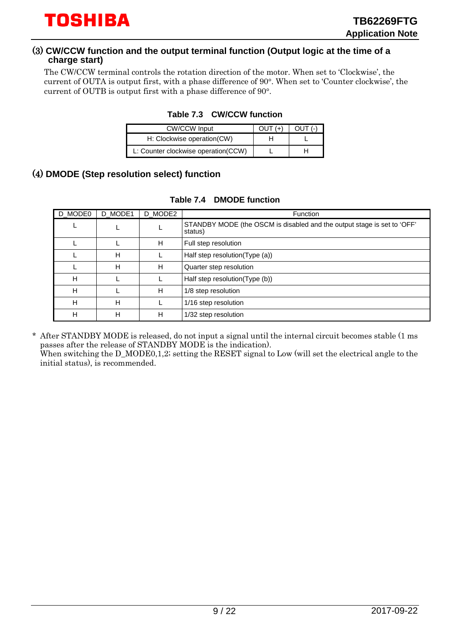#### (3) **CW/CCW function and the output terminal function (Output logic at the time of a charge start)**

<span id="page-8-0"></span>The CW/CCW terminal controls the rotation direction of the motor. When set to 'Clockwise', the current of OUTA is output first, with a phase difference of 90°. When set to 'Counter clockwise', the current of OUTB is output first with a phase difference of 90°.

| <b>CW/CCW Input</b>                 | $Q$ UT $(+)$ | $O$ IJT $($ -) |
|-------------------------------------|--------------|----------------|
| H: Clockwise operation(CW)          | н            |                |
| L: Counter clockwise operation(CCW) |              |                |

#### **Table 7.3 CW/CCW function**

### <span id="page-8-1"></span>(4) **DMODE (Step resolution select) function**

| D MODE0 | D_MODE1 | D_MODE2 | <b>Function</b>                                                                    |
|---------|---------|---------|------------------------------------------------------------------------------------|
|         |         |         | STANDBY MODE (the OSCM is disabled and the output stage is set to 'OFF'<br>status) |
|         |         | н       | Full step resolution                                                               |
|         | н       |         | Half step resolution(Type (a))                                                     |
|         | н       | Н       | Quarter step resolution                                                            |
| н       |         |         | Half step resolution(Type (b))                                                     |
| H       |         | н       | 1/8 step resolution                                                                |
| H       | н       |         | 1/16 step resolution                                                               |
| н       | н       | н       | 1/32 step resolution                                                               |

#### **Table 7.4 DMODE function**

\* After STANDBY MODE is released, do not input a signal until the internal circuit becomes stable (1 ms passes after the release of STANDBY MODE is the indication). When switching the  $D_MODE0, 1, 2$ ; setting the RESET signal to Low (will set the electrical angle to the initial status), is recommended.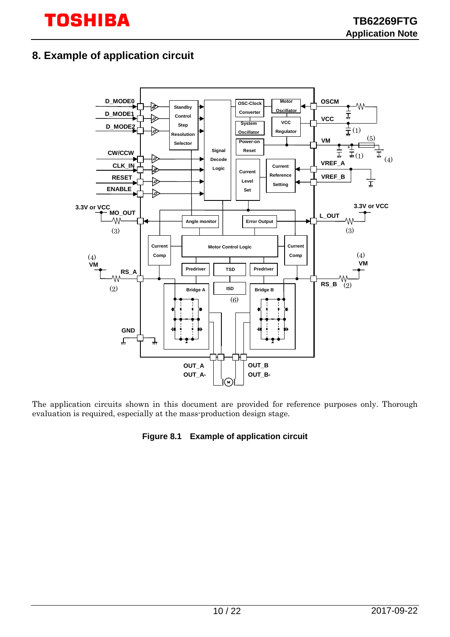## <span id="page-9-0"></span>**8. Example of application circuit**



<span id="page-9-1"></span>The application circuits shown in this document are provided for reference purposes only. Thorough evaluation is required, especially at the mass-production design stage.

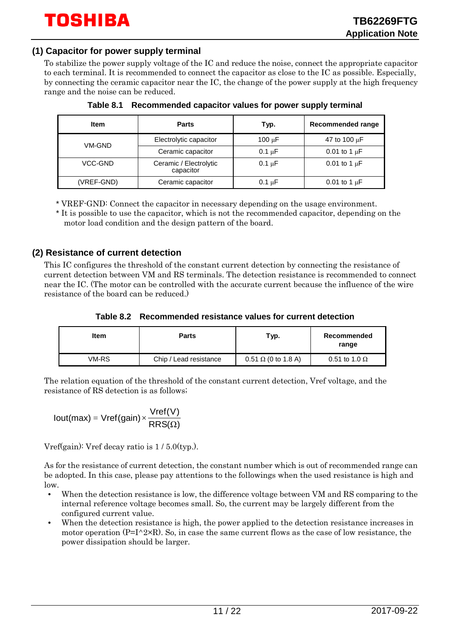#### **(1) Capacitor for power supply terminal**

To stabilize the power supply voltage of the IC and reduce the noise, connect the appropriate capacitor to each terminal. It is recommended to connect the capacitor as close to the IC as possible. Especially, by connecting the ceramic capacitor near the IC, the change of the power supply at the high frequency range and the noise can be reduced.

<span id="page-10-0"></span>

| <b>Item</b> | <b>Parts</b>                        | Typ.        | <b>Recommended range</b> |
|-------------|-------------------------------------|-------------|--------------------------|
| VM-GND      | Electrolytic capacitor              | $100 \mu F$ | 47 to 100 $\mu$ F        |
|             | Ceramic capacitor                   | $0.1 \mu F$ | 0.01 to 1 $\mu$ F        |
| VCC-GND     | Ceramic / Electrolytic<br>capacitor | $0.1 \mu F$ | 0.01 to 1 $\mu$ F        |
| (VREF-GND)  | Ceramic capacitor                   | $0.1 \mu F$ | 0.01 to 1 $\mu$ F        |

**Table 8.1 Recommended capacitor values for power supply terminal**

\* VREF-GND: Connect the capacitor in necessary depending on the usage environment.

\* It is possible to use the capacitor, which is not the recommended capacitor, depending on the motor load condition and the design pattern of the board.

#### **(2) Resistance of current detection**

This IC configures the threshold of the constant current detection by connecting the resistance of current detection between VM and RS terminals. The detection resistance is recommended to connect near the IC. (The motor can be controlled with the accurate current because the influence of the wire resistance of the board can be reduced.)

**Table 8.2 Recommended resistance values for current detection**

<span id="page-10-1"></span>

| ltem  | <b>Parts</b>           | Typ.                       | Recommended<br>range |
|-------|------------------------|----------------------------|----------------------|
| VM-RS | Chip / Lead resistance | $0.51 \Omega$ (0 to 1.8 A) | 0.51 to 1.0 $\Omega$ |

The relation equation of the threshold of the constant current detection, Vref voltage, and the resistance of RS detection is as follows;

$$
Iout(max) = Vref(gain) \times \frac{Vref(V)}{RRS(\Omega)}
$$

Vref(gain): Vref decay ratio is 1 / 5.0(typ.).

As for the resistance of current detection, the constant number which is out of recommended range can be adopted. In this case, please pay attentions to the followings when the used resistance is high and low.

- When the detection resistance is low, the difference voltage between VM and RS comparing to the internal reference voltage becomes small. So, the current may be largely different from the configured current value.
- When the detection resistance is high, the power applied to the detection resistance increases in motor operation  $(P=I^2*R)$ . So, in case the same current flows as the case of low resistance, the power dissipation should be larger.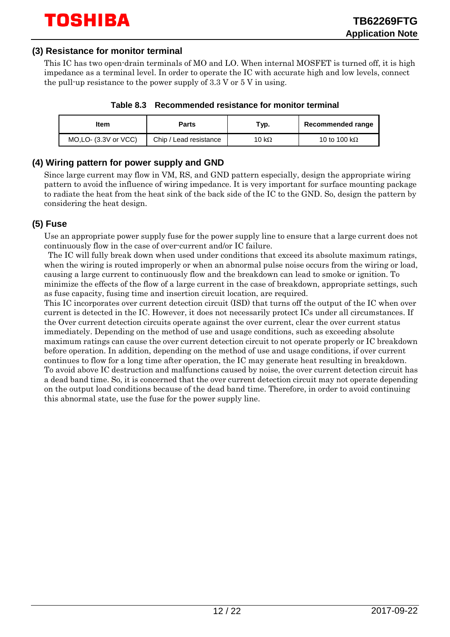#### **(3) Resistance for monitor terminal**

This IC has two open-drain terminals of MO and LO. When internal MOSFET is turned off, it is high impedance as a terminal level. In order to operate the IC with accurate high and low levels, connect the pull-up resistance to the power supply of  $3.3$  V or  $5$  V in using.

|  | Table 8.3 Recommended resistance for monitor terminal |
|--|-------------------------------------------------------|
|--|-------------------------------------------------------|

<span id="page-11-0"></span>

| ltem                           | Parts                  | тур.  | Recommended range    |
|--------------------------------|------------------------|-------|----------------------|
| $MO$ , LO- $(3.3V)$ or $VCC$ ) | Chip / Lead resistance | 10 kΩ | 10 to 100 k $\Omega$ |

#### **(4) Wiring pattern for power supply and GND**

Since large current may flow in VM, RS, and GND pattern especially, design the appropriate wiring pattern to avoid the influence of wiring impedance. It is very important for surface mounting package to radiate the heat from the heat sink of the back side of the IC to the GND. So, design the pattern by considering the heat design.

#### **(5) Fuse**

Use an appropriate power supply fuse for the power supply line to ensure that a large current does not continuously flow in the case of over-current and/or IC failure.

The IC will fully break down when used under conditions that exceed its absolute maximum ratings, when the wiring is routed improperly or when an abnormal pulse noise occurs from the wiring or load, causing a large current to continuously flow and the breakdown can lead to smoke or ignition. To minimize the effects of the flow of a large current in the case of breakdown, appropriate settings, such as fuse capacity, fusing time and insertion circuit location, are required.

This IC incorporates over current detection circuit (ISD) that turns off the output of the IC when over current is detected in the IC. However, it does not necessarily protect ICs under all circumstances. If the Over current detection circuits operate against the over current, clear the over current status immediately. Depending on the method of use and usage conditions, such as exceeding absolute maximum ratings can cause the over current detection circuit to not operate properly or IC breakdown before operation. In addition, depending on the method of use and usage conditions, if over current continues to flow for a long time after operation, the IC may generate heat resulting in breakdown. To avoid above IC destruction and malfunctions caused by noise, the over current detection circuit has a dead band time. So, it is concerned that the over current detection circuit may not operate depending on the output load conditions because of the dead band time. Therefore, in order to avoid continuing this abnormal state, use the fuse for the power supply line.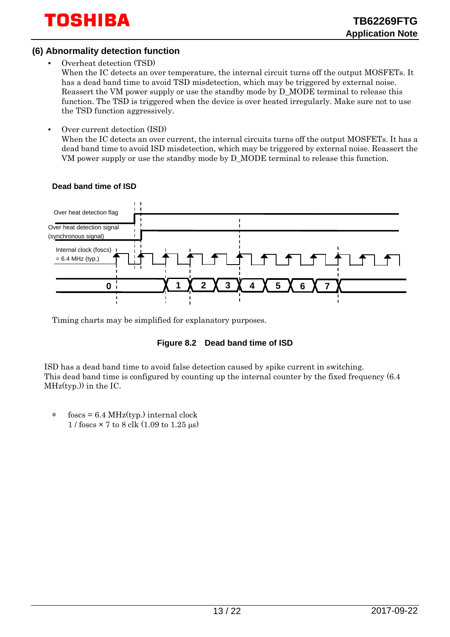#### **(6) Abnormality detection function**

• Overheat detection (TSD)

When the IC detects an over temperature, the internal circuit turns off the output MOSFETs. It has a dead band time to avoid TSD misdetection, which may be triggered by external noise. Reassert the VM power supply or use the standby mode by D\_MODE terminal to release this function. The TSD is triggered when the device is over heated irregularly. Make sure not to use the TSD function aggressively.

• Over current detection (ISD)

When the IC detects an over current, the internal circuits turns off the output MOSFETs. It has a dead band time to avoid ISD misdetection, which may be triggered by external noise. Reassert the VM power supply or use the standby mode by D\_MODE terminal to release this function.



#### **Dead band time of ISD**

<span id="page-12-0"></span>Timing charts may be simplified for explanatory purposes.

#### **Figure 8.2 Dead band time of ISD**

ISD has a dead band time to avoid false detection caused by spike current in switching. This dead band time is configured by counting up the internal counter by the fixed frequency (6.4  $MHz(typ.))$  in the IC.

\* foscs =  $6.4 \text{ MHz(typ.)}$  internal clock 1 / foscs × 7 to 8 clk (1.09 to 1.25 μs)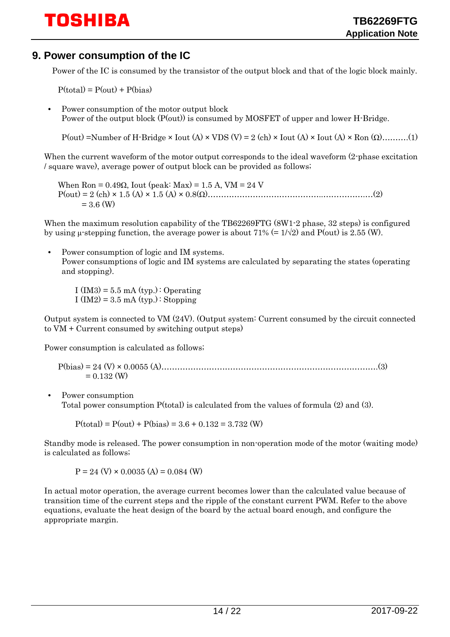### <span id="page-13-0"></span>**9. Power consumption of the IC**

Power of the IC is consumed by the transistor of the output block and that of the logic block mainly.

 $P(total) = P($ <sub>Out</sub> $) + P(hias)$ 

• Power consumption of the motor output block Power of the output block (P(out)) is consumed by MOSFET of upper and lower H-Bridge.

P(out) =Number of H-Bridge  $\times$  Iout (A)  $\times$  VDS (V) = 2 (ch)  $\times$  Iout (A)  $\times$  Iout (A)  $\times$  Ron ( $\Omega$ )……….(1)

When the current waveform of the motor output corresponds to the ideal waveform (2-phase excitation / square wave), average power of output block can be provided as follows;

When  $\text{Ron} = 0.49\Omega$ , Iout (peak: Max) = 1.5 A, VM = 24 V P(out) = 2 (ch) × 1.5 (A) × 1.5 (A) × 0.8(Ω)……………………………………..…………….…(2)  $= 3.6$  (W)

When the maximum resolution capability of the TB62269FTG (8W1-2 phase, 32 steps) is configured by using μ-stepping function, the average power is about 71% (=  $1/\sqrt{2}$ ) and P(out) is 2.55 (W).

• Power consumption of logic and IM systems. Power consumptions of logic and IM systems are calculated by separating the states (operating and stopping).

I  $(IM3) = 5.5$  mA  $(typ.)$ : Operating I (IM2) = 3.5 mA (typ.) : Stopping

Output system is connected to VM (24V). (Output system: Current consumed by the circuit connected to VM + Current consumed by switching output steps)

Power consumption is calculated as follows;

P(bias) = 24 (V) × 0.0055 (A)……………………………………………………………………….(3)  $= 0.132$  (W)

• Power consumption Total power consumption P(total) is calculated from the values of formula (2) and (3).

 $P(total) = P(out) + P(bias) = 3.6 + 0.132 = 3.732$  (W)

Standby mode is released. The power consumption in non-operation mode of the motor (waiting mode) is calculated as follows;

 $P = 24$  (V)  $\times$  0.0035 (A) = 0.084 (W)

In actual motor operation, the average current becomes lower than the calculated value because of transition time of the current steps and the ripple of the constant current PWM. Refer to the above equations, evaluate the heat design of the board by the actual board enough, and configure the appropriate margin.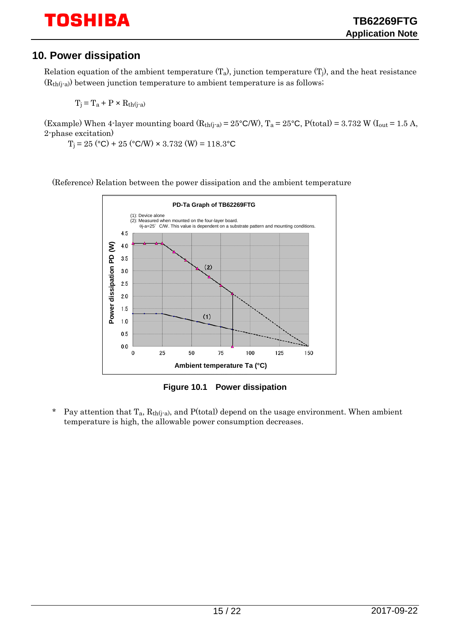## <span id="page-14-0"></span>**10. Power dissipation**

Relation equation of the ambient temperature  $(T_a)$ , junction temperature  $(T_i)$ , and the heat resistance  $(R<sub>th</sub>(j-a))$  between junction temperature to ambient temperature is as follows;

 $T_i = T_a + P \times R_{th(i-a)}$ 

(Example) When 4-layer mounting board  $(R<sub>th(j-a)</sub> = 25°C/W)$ ,  $T_a = 25°C$ ,  $P(total) = 3.732 W (I<sub>out</sub> = 1.5 A,$ 2-phase excitation)

 $T_i = 25$  (°C) + 25 (°C/W)  $\times$  3.732 (W) = 118.3°C

(Reference) Relation between the power dissipation and the ambient temperature



**Figure 10.1 Power dissipation**

<span id="page-14-1"></span>\* Pay attention that  $T_a$ ,  $R_{th(i-a)}$ , and  $P(\text{total})$  depend on the usage environment. When ambient temperature is high, the allowable power consumption decreases.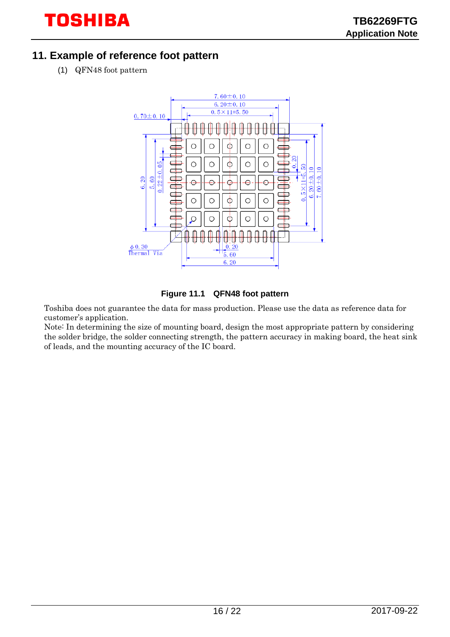## <span id="page-15-0"></span>**11. Example of reference foot pattern**

(1) QFN48 foot pattern



#### **Figure 11.1 QFN48 foot pattern**

<span id="page-15-1"></span>Toshiba does not guarantee the data for mass production. Please use the data as reference data for customer's application.

Note: In determining the size of mounting board, design the most appropriate pattern by considering the solder bridge, the solder connecting strength, the pattern accuracy in making board, the heat sink of leads, and the mounting accuracy of the IC board.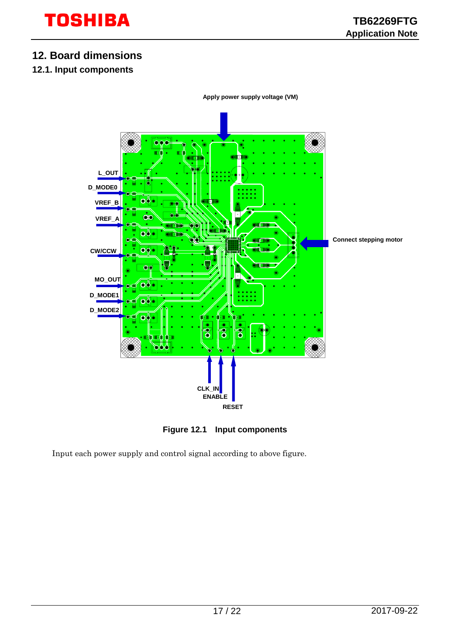## <span id="page-16-0"></span>**12. Board dimensions**

#### <span id="page-16-1"></span>**12.1. Input components**



**Figure 12.1 Input components**

<span id="page-16-2"></span>Input each power supply and control signal according to above figure.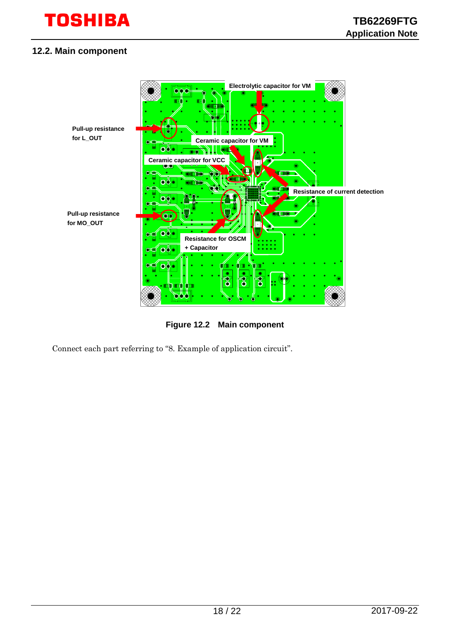#### <span id="page-17-0"></span>**12.2. Main component**



**Figure 12.2 Main component**

<span id="page-17-1"></span>Connect each part referring to ["8. Example of application circuit"](#page-9-0).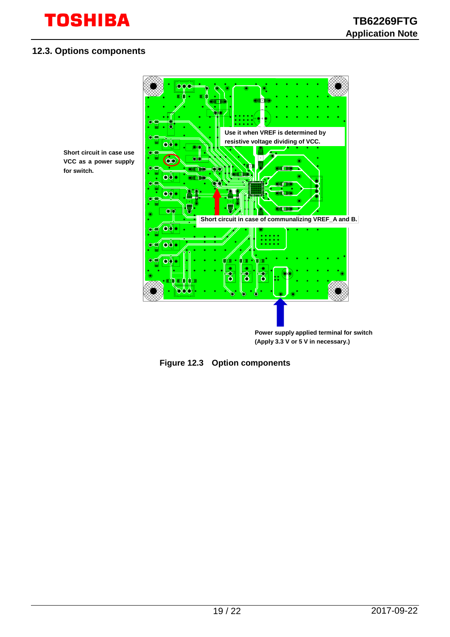#### <span id="page-18-0"></span>**12.3. Options components**

**for switch.**



<span id="page-18-1"></span>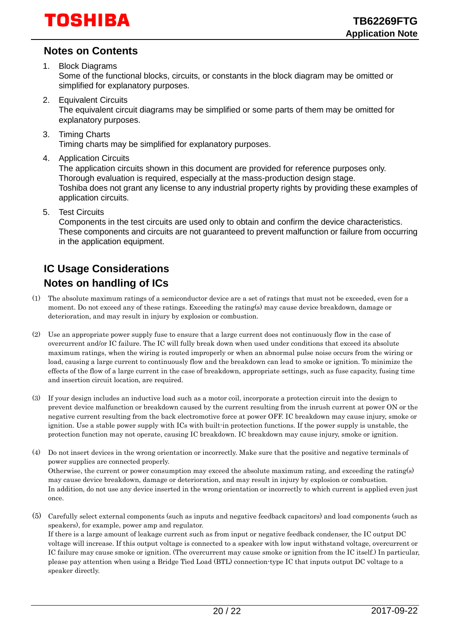## <span id="page-19-0"></span>**Notes on Contents**

1. Block Diagrams

Some of the functional blocks, circuits, or constants in the block diagram may be omitted or simplified for explanatory purposes.

- 2. Equivalent Circuits The equivalent circuit diagrams may be simplified or some parts of them may be omitted for explanatory purposes.
- 3. Timing Charts Timing charts may be simplified for explanatory purposes.
- 4. Application Circuits

The application circuits shown in this document are provided for reference purposes only. Thorough evaluation is required, especially at the mass-production design stage. Toshiba does not grant any license to any industrial property rights by providing these examples of application circuits.

5. Test Circuits

Components in the test circuits are used only to obtain and confirm the device characteristics. These components and circuits are not guaranteed to prevent malfunction or failure from occurring in the application equipment.

## <span id="page-19-1"></span>**IC Usage Considerations Notes on handling of ICs**

- <span id="page-19-2"></span>(1) The absolute maximum ratings of a semiconductor device are a set of ratings that must not be exceeded, even for a moment. Do not exceed any of these ratings. Exceeding the rating(s) may cause device breakdown, damage or deterioration, and may result in injury by explosion or combustion.
- (2) Use an appropriate power supply fuse to ensure that a large current does not continuously flow in the case of overcurrent and/or IC failure. The IC will fully break down when used under conditions that exceed its absolute maximum ratings, when the wiring is routed improperly or when an abnormal pulse noise occurs from the wiring or load, causing a large current to continuously flow and the breakdown can lead to smoke or ignition. To minimize the effects of the flow of a large current in the case of breakdown, appropriate settings, such as fuse capacity, fusing time and insertion circuit location, are required.
- (3) If your design includes an inductive load such as a motor coil, incorporate a protection circuit into the design to prevent device malfunction or breakdown caused by the current resulting from the inrush current at power ON or the negative current resulting from the back electromotive force at power OFF. IC breakdown may cause injury, smoke or ignition. Use a stable power supply with ICs with built-in protection functions. If the power supply is unstable, the protection function may not operate, causing IC breakdown. IC breakdown may cause injury, smoke or ignition.
- (4) Do not insert devices in the wrong orientation or incorrectly. Make sure that the positive and negative terminals of power supplies are connected properly. Otherwise, the current or power consumption may exceed the absolute maximum rating, and exceeding the rating(s) may cause device breakdown, damage or deterioration, and may result in injury by explosion or combustion. In addition, do not use any device inserted in the wrong orientation or incorrectly to which current is applied even just once.
- (5) Carefully select external components (such as inputs and negative feedback capacitors) and load components (such as speakers), for example, power amp and regulator. If there is a large amount of leakage current such as from input or negative feedback condenser, the IC output DC voltage will increase. If this output voltage is connected to a speaker with low input withstand voltage, overcurrent or IC failure may cause smoke or ignition. (The overcurrent may cause smoke or ignition from the IC itself.) In particular, please pay attention when using a Bridge Tied Load (BTL) connection-type IC that inputs output DC voltage to a speaker directly.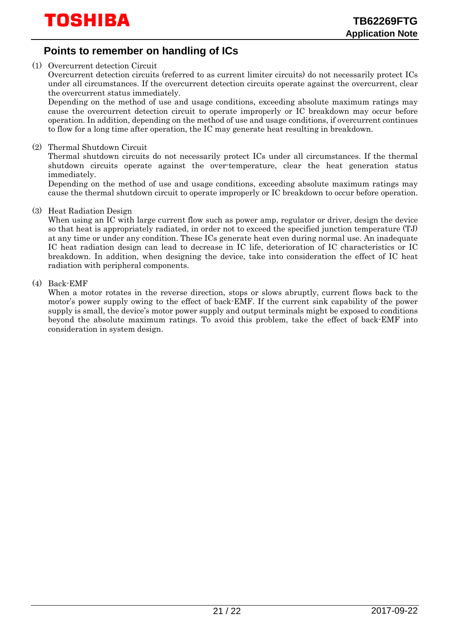## <span id="page-20-0"></span>**Points to remember on handling of ICs**

(1) Overcurrent detection Circuit

Overcurrent detection circuits (referred to as current limiter circuits) do not necessarily protect ICs under all circumstances. If the overcurrent detection circuits operate against the overcurrent, clear the overcurrent status immediately.

Depending on the method of use and usage conditions, exceeding absolute maximum ratings may cause the overcurrent detection circuit to operate improperly or IC breakdown may occur before operation. In addition, depending on the method of use and usage conditions, if overcurrent continues to flow for a long time after operation, the IC may generate heat resulting in breakdown.

(2) Thermal Shutdown Circuit

Thermal shutdown circuits do not necessarily protect ICs under all circumstances. If the thermal shutdown circuits operate against the over-temperature, clear the heat generation status immediately.

Depending on the method of use and usage conditions, exceeding absolute maximum ratings may cause the thermal shutdown circuit to operate improperly or IC breakdown to occur before operation.

(3) Heat Radiation Design

When using an IC with large current flow such as power amp, regulator or driver, design the device so that heat is appropriately radiated, in order not to exceed the specified junction temperature (TJ) at any time or under any condition. These ICs generate heat even during normal use. An inadequate IC heat radiation design can lead to decrease in IC life, deterioration of IC characteristics or IC breakdown. In addition, when designing the device, take into consideration the effect of IC heat radiation with peripheral components.

(4) Back-EMF

When a motor rotates in the reverse direction, stops or slows abruptly, current flows back to the motor's power supply owing to the effect of back-EMF. If the current sink capability of the power supply is small, the device's motor power supply and output terminals might be exposed to conditions beyond the absolute maximum ratings. To avoid this problem, take the effect of back-EMF into consideration in system design.